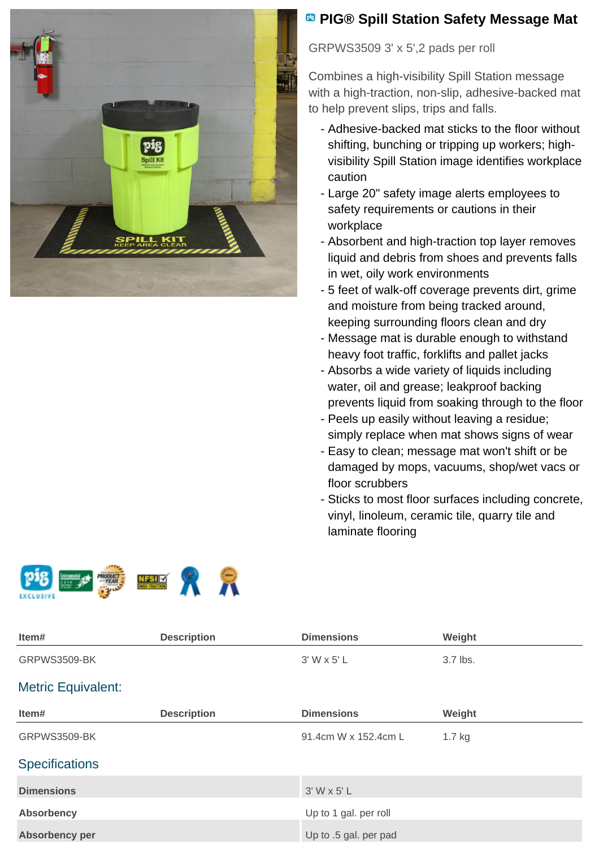

## **PIG® Spill Station Safety Message Mat**

GRPWS3509 3' x 5',2 pads per roll

Combines a high-visibility Spill Station message with a high-traction, non-slip, adhesive-backed mat to help prevent slips, trips and falls.

- Adhesive-backed mat sticks to the floor without shifting, bunching or tripping up workers; highvisibility Spill Station image identifies workplace caution
- Large 20" safety image alerts employees to safety requirements or cautions in their workplace
- Absorbent and high-traction top layer removes liquid and debris from shoes and prevents falls in wet, oily work environments
- 5 feet of walk-off coverage prevents dirt, grime and moisture from being tracked around, keeping surrounding floors clean and dry
- Message mat is durable enough to withstand heavy foot traffic, forklifts and pallet jacks
- Absorbs a wide variety of liquids including water, oil and grease; leakproof backing prevents liquid from soaking through to the floor
- Peels up easily without leaving a residue; simply replace when mat shows signs of wear
- Easy to clean; message mat won't shift or be damaged by mops, vacuums, shop/wet vacs or floor scrubbers
- Sticks to most floor surfaces including concrete, vinyl, linoleum, ceramic tile, quarry tile and laminate flooring





**Absorbency per** Up to .5 gal. per pad

| Item#                     | <b>Description</b> | <b>Dimensions</b>     | Weight   |
|---------------------------|--------------------|-----------------------|----------|
| GRPWS3509-BK              |                    | $3'$ W x 5' L         | 3.7 lbs. |
| <b>Metric Equivalent:</b> |                    |                       |          |
| Item#                     | <b>Description</b> | <b>Dimensions</b>     | Weight   |
| GRPWS3509-BK              |                    | 91.4cm W x 152.4cm L  | $1.7$ kg |
| <b>Specifications</b>     |                    |                       |          |
| <b>Dimensions</b>         |                    | $3'$ W x 5' L         |          |
| <b>Absorbency</b>         |                    | Up to 1 gal. per roll |          |